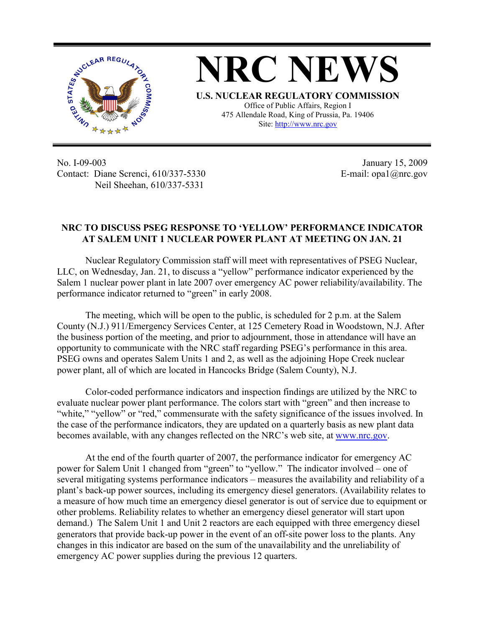

**NRC NEWS U.S. NUCLEAR REGULATORY COMMISSION** Office of Public Affairs, Region I 475 Allendale Road, King of Prussia, Pa. 19406 Site: http://www.nrc.gov

No. I-09-003 Contact: Diane Screnci, 610/337-5330 Neil Sheehan, 610/337-5331

January 15, 2009 E-mail: opa1@nrc.gov

## **NRC TO DISCUSS PSEG RESPONSE TO 'YELLOW' PERFORMANCE INDICATOR AT SALEM UNIT 1 NUCLEAR POWER PLANT AT MEETING ON JAN. 21**

Nuclear Regulatory Commission staff will meet with representatives of PSEG Nuclear, LLC, on Wednesday, Jan. 21, to discuss a "yellow" performance indicator experienced by the Salem 1 nuclear power plant in late 2007 over emergency AC power reliability/availability. The performance indicator returned to "green" in early 2008.

The meeting, which will be open to the public, is scheduled for 2 p.m. at the Salem County (N.J.) 911/Emergency Services Center, at 125 Cemetery Road in Woodstown, N.J. After the business portion of the meeting, and prior to adjournment, those in attendance will have an opportunity to communicate with the NRC staff regarding PSEG's performance in this area. PSEG owns and operates Salem Units 1 and 2, as well as the adjoining Hope Creek nuclear power plant, all of which are located in Hancocks Bridge (Salem County), N.J.

Color-coded performance indicators and inspection findings are utilized by the NRC to evaluate nuclear power plant performance. The colors start with "green" and then increase to "white," "yellow" or "red," commensurate with the safety significance of the issues involved. In the case of the performance indicators, they are updated on a quarterly basis as new plant data becomes available, with any changes reflected on the NRC's web site, at www.nrc.gov.

At the end of the fourth quarter of 2007, the performance indicator for emergency AC power for Salem Unit 1 changed from "green" to "yellow." The indicator involved – one of several mitigating systems performance indicators – measures the availability and reliability of a plant's back-up power sources, including its emergency diesel generators. (Availability relates to a measure of how much time an emergency diesel generator is out of service due to equipment or other problems. Reliability relates to whether an emergency diesel generator will start upon demand.) The Salem Unit 1 and Unit 2 reactors are each equipped with three emergency diesel generators that provide back-up power in the event of an off-site power loss to the plants. Any changes in this indicator are based on the sum of the unavailability and the unreliability of emergency AC power supplies during the previous 12 quarters.